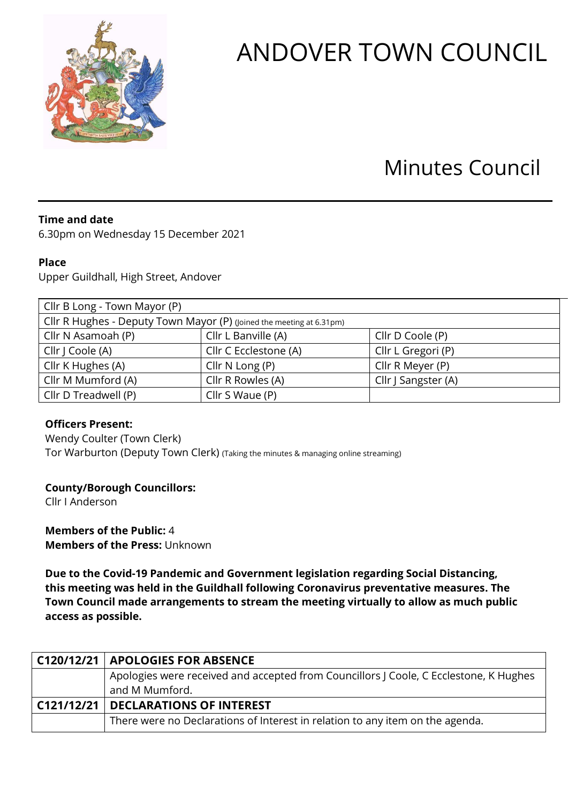

# ANDOVER TOWN COUNCIL

## Minutes Council

#### **Time and date**

6.30pm on Wednesday 15 December 2021

#### **Place**

Upper Guildhall, High Street, Andover

| Cllr B Long - Town Mayor (P)                                         |                       |                     |  |
|----------------------------------------------------------------------|-----------------------|---------------------|--|
| Cllr R Hughes - Deputy Town Mayor (P) (Joined the meeting at 6.31pm) |                       |                     |  |
| Cllr N Asamoah (P)                                                   | Cllr L Banville (A)   | Cllr D Coole (P)    |  |
| Cllr   Coole (A)                                                     | Cllr C Ecclestone (A) | Cllr L Gregori (P)  |  |
| Cllr K Hughes (A)                                                    | Cllr $N$ Long $(P)$   | Cllr R Meyer (P)    |  |
| Cllr M Mumford (A)                                                   | Cllr R Rowles (A)     | Cllr J Sangster (A) |  |
| Cllr D Treadwell (P)                                                 | Cllr S Waue (P)       |                     |  |

#### **Officers Present:**

Wendy Coulter (Town Clerk) Tor Warburton (Deputy Town Clerk) (Taking the minutes & managing online streaming)

### **County/Borough Councillors:**

Cllr I Anderson

**Members of the Public:** 4 **Members of the Press:** Unknown

**Due to the Covid-19 Pandemic and Government legislation regarding Social Distancing, this meeting was held in the Guildhall following Coronavirus preventative measures. The Town Council made arrangements to stream the meeting virtually to allow as much public access as possible.** 

| C120/12/21   APOLOGIES FOR ABSENCE                                                    |
|---------------------------------------------------------------------------------------|
| Apologies were received and accepted from Councillors J Coole, C Ecclestone, K Hughes |
| and M Mumford.                                                                        |
| C121/12/21   DECLARATIONS OF INTEREST                                                 |
| There were no Declarations of Interest in relation to any item on the agenda.         |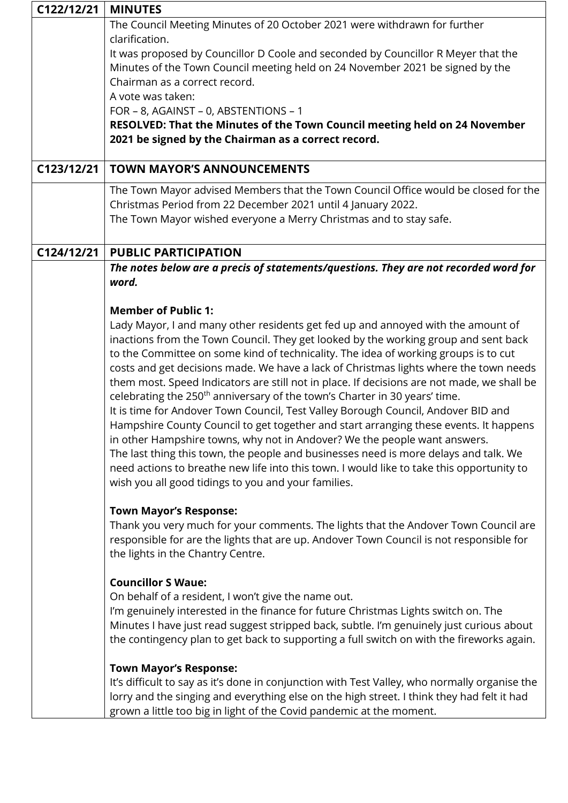| C122/12/21 | <b>MINUTES</b>                                                                                                                                                             |  |  |
|------------|----------------------------------------------------------------------------------------------------------------------------------------------------------------------------|--|--|
|            | The Council Meeting Minutes of 20 October 2021 were withdrawn for further                                                                                                  |  |  |
|            | clarification.<br>It was proposed by Councillor D Coole and seconded by Councillor R Meyer that the                                                                        |  |  |
|            | Minutes of the Town Council meeting held on 24 November 2021 be signed by the                                                                                              |  |  |
|            | Chairman as a correct record.                                                                                                                                              |  |  |
|            | A vote was taken:                                                                                                                                                          |  |  |
|            | FOR - 8, AGAINST - 0, ABSTENTIONS - 1                                                                                                                                      |  |  |
|            | RESOLVED: That the Minutes of the Town Council meeting held on 24 November                                                                                                 |  |  |
|            | 2021 be signed by the Chairman as a correct record.                                                                                                                        |  |  |
| C123/12/21 | <b>TOWN MAYOR'S ANNOUNCEMENTS</b>                                                                                                                                          |  |  |
|            | The Town Mayor advised Members that the Town Council Office would be closed for the                                                                                        |  |  |
|            | Christmas Period from 22 December 2021 until 4 January 2022.                                                                                                               |  |  |
|            | The Town Mayor wished everyone a Merry Christmas and to stay safe.                                                                                                         |  |  |
| C124/12/21 | <b>PUBLIC PARTICIPATION</b>                                                                                                                                                |  |  |
|            | The notes below are a precis of statements/questions. They are not recorded word for                                                                                       |  |  |
|            | word.                                                                                                                                                                      |  |  |
|            |                                                                                                                                                                            |  |  |
|            | <b>Member of Public 1:</b>                                                                                                                                                 |  |  |
|            | Lady Mayor, I and many other residents get fed up and annoyed with the amount of                                                                                           |  |  |
|            | inactions from the Town Council. They get looked by the working group and sent back<br>to the Committee on some kind of technicality. The idea of working groups is to cut |  |  |
|            | costs and get decisions made. We have a lack of Christmas lights where the town needs                                                                                      |  |  |
|            | them most. Speed Indicators are still not in place. If decisions are not made, we shall be                                                                                 |  |  |
|            | celebrating the 250 <sup>th</sup> anniversary of the town's Charter in 30 years' time.                                                                                     |  |  |
|            | It is time for Andover Town Council, Test Valley Borough Council, Andover BID and                                                                                          |  |  |
|            | Hampshire County Council to get together and start arranging these events. It happens                                                                                      |  |  |
|            | in other Hampshire towns, why not in Andover? We the people want answers.                                                                                                  |  |  |
|            | The last thing this town, the people and businesses need is more delays and talk. We                                                                                       |  |  |
|            | need actions to breathe new life into this town. I would like to take this opportunity to                                                                                  |  |  |
|            | wish you all good tidings to you and your families.                                                                                                                        |  |  |
|            | <b>Town Mayor's Response:</b>                                                                                                                                              |  |  |
|            | Thank you very much for your comments. The lights that the Andover Town Council are                                                                                        |  |  |
|            | responsible for are the lights that are up. Andover Town Council is not responsible for                                                                                    |  |  |
|            | the lights in the Chantry Centre.                                                                                                                                          |  |  |
|            | <b>Councillor S Waue:</b>                                                                                                                                                  |  |  |
|            | On behalf of a resident, I won't give the name out.                                                                                                                        |  |  |
|            | I'm genuinely interested in the finance for future Christmas Lights switch on. The                                                                                         |  |  |
|            | Minutes I have just read suggest stripped back, subtle. I'm genuinely just curious about                                                                                   |  |  |
|            | the contingency plan to get back to supporting a full switch on with the fireworks again.                                                                                  |  |  |
|            | <b>Town Mayor's Response:</b>                                                                                                                                              |  |  |
|            | It's difficult to say as it's done in conjunction with Test Valley, who normally organise the                                                                              |  |  |
|            | lorry and the singing and everything else on the high street. I think they had felt it had                                                                                 |  |  |
|            | grown a little too big in light of the Covid pandemic at the moment.                                                                                                       |  |  |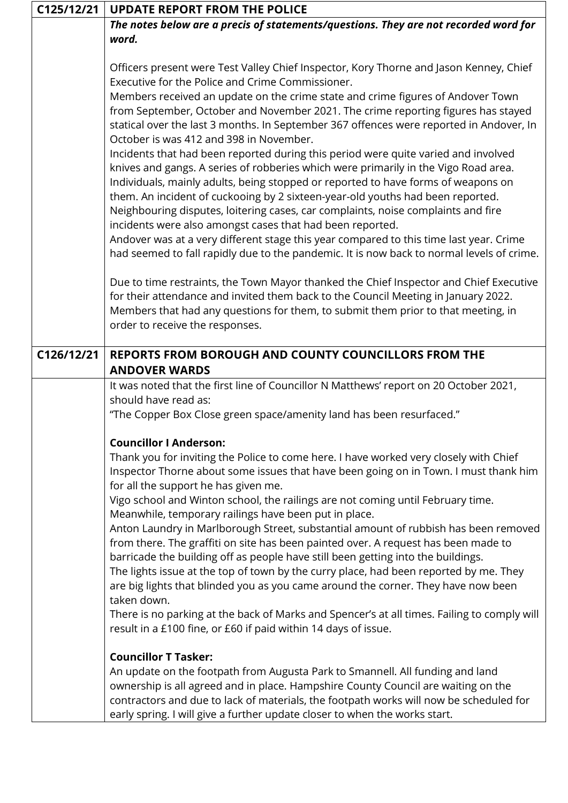| C125/12/21 | <b>UPDATE REPORT FROM THE POLICE</b>                                                                                                       |  |  |
|------------|--------------------------------------------------------------------------------------------------------------------------------------------|--|--|
|            | The notes below are a precis of statements/questions. They are not recorded word for                                                       |  |  |
|            | word.                                                                                                                                      |  |  |
|            |                                                                                                                                            |  |  |
|            | Officers present were Test Valley Chief Inspector, Kory Thorne and Jason Kenney, Chief<br>Executive for the Police and Crime Commissioner. |  |  |
|            | Members received an update on the crime state and crime figures of Andover Town                                                            |  |  |
|            | from September, October and November 2021. The crime reporting figures has stayed                                                          |  |  |
|            | statical over the last 3 months. In September 367 offences were reported in Andover, In                                                    |  |  |
|            | October is was 412 and 398 in November.                                                                                                    |  |  |
|            | Incidents that had been reported during this period were quite varied and involved                                                         |  |  |
|            | knives and gangs. A series of robberies which were primarily in the Vigo Road area.                                                        |  |  |
|            | Individuals, mainly adults, being stopped or reported to have forms of weapons on                                                          |  |  |
|            | them. An incident of cuckooing by 2 sixteen-year-old youths had been reported.                                                             |  |  |
|            | Neighbouring disputes, loitering cases, car complaints, noise complaints and fire                                                          |  |  |
|            | incidents were also amongst cases that had been reported.                                                                                  |  |  |
|            | Andover was at a very different stage this year compared to this time last year. Crime                                                     |  |  |
|            | had seemed to fall rapidly due to the pandemic. It is now back to normal levels of crime.                                                  |  |  |
|            |                                                                                                                                            |  |  |
|            | Due to time restraints, the Town Mayor thanked the Chief Inspector and Chief Executive                                                     |  |  |
|            | for their attendance and invited them back to the Council Meeting in January 2022.                                                         |  |  |
|            | Members that had any questions for them, to submit them prior to that meeting, in                                                          |  |  |
|            | order to receive the responses.                                                                                                            |  |  |
|            |                                                                                                                                            |  |  |
| C126/12/21 | REPORTS FROM BOROUGH AND COUNTY COUNCILLORS FROM THE                                                                                       |  |  |
|            | <b>ANDOVER WARDS</b>                                                                                                                       |  |  |
|            | It was noted that the first line of Councillor N Matthews' report on 20 October 2021,                                                      |  |  |
|            | should have read as:                                                                                                                       |  |  |
|            | "The Copper Box Close green space/amenity land has been resurfaced."                                                                       |  |  |
|            |                                                                                                                                            |  |  |
|            | <b>Councillor I Anderson:</b>                                                                                                              |  |  |
|            | Thank you for inviting the Police to come here. I have worked very closely with Chief                                                      |  |  |
|            | Inspector Thorne about some issues that have been going on in Town. I must thank him                                                       |  |  |
|            | for all the support he has given me.                                                                                                       |  |  |
|            | Vigo school and Winton school, the railings are not coming until February time.                                                            |  |  |
|            | Meanwhile, temporary railings have been put in place.                                                                                      |  |  |
|            | Anton Laundry in Marlborough Street, substantial amount of rubbish has been removed                                                        |  |  |
|            | from there. The graffiti on site has been painted over. A request has been made to                                                         |  |  |
|            | barricade the building off as people have still been getting into the buildings.                                                           |  |  |
|            | The lights issue at the top of town by the curry place, had been reported by me. They                                                      |  |  |
|            | are big lights that blinded you as you came around the corner. They have now been                                                          |  |  |
|            | taken down.                                                                                                                                |  |  |
|            | There is no parking at the back of Marks and Spencer's at all times. Failing to comply will                                                |  |  |
|            | result in a £100 fine, or £60 if paid within 14 days of issue.                                                                             |  |  |
|            | <b>Councillor T Tasker:</b>                                                                                                                |  |  |
|            | An update on the footpath from Augusta Park to Smannell. All funding and land                                                              |  |  |
|            | ownership is all agreed and in place. Hampshire County Council are waiting on the                                                          |  |  |
|            | contractors and due to lack of materials, the footpath works will now be scheduled for                                                     |  |  |
|            | early spring. I will give a further update closer to when the works start.                                                                 |  |  |

٦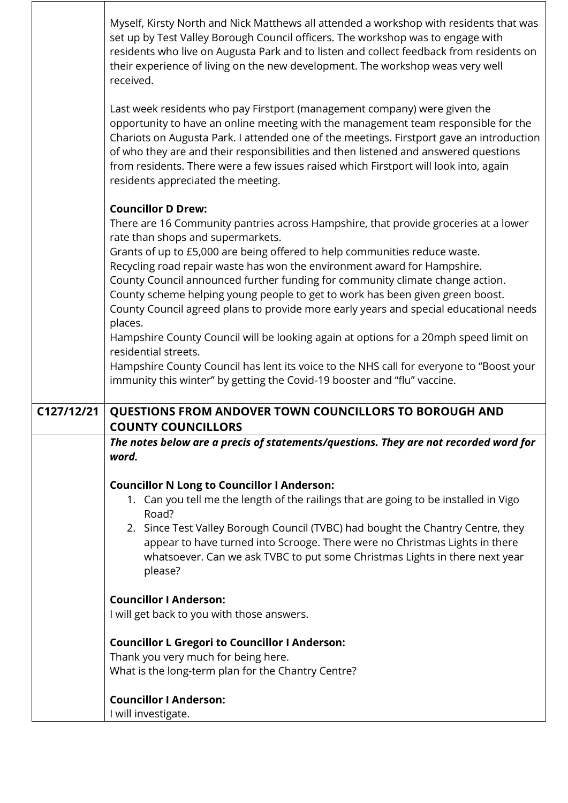|            | Myself, Kirsty North and Nick Matthews all attended a workshop with residents that was<br>set up by Test Valley Borough Council officers. The workshop was to engage with<br>residents who live on Augusta Park and to listen and collect feedback from residents on<br>their experience of living on the new development. The workshop weas very well<br>received.                                                                                                              |
|------------|----------------------------------------------------------------------------------------------------------------------------------------------------------------------------------------------------------------------------------------------------------------------------------------------------------------------------------------------------------------------------------------------------------------------------------------------------------------------------------|
|            | Last week residents who pay Firstport (management company) were given the<br>opportunity to have an online meeting with the management team responsible for the<br>Chariots on Augusta Park. I attended one of the meetings. Firstport gave an introduction<br>of who they are and their responsibilities and then listened and answered questions<br>from residents. There were a few issues raised which Firstport will look into, again<br>residents appreciated the meeting. |
|            | <b>Councillor D Drew:</b>                                                                                                                                                                                                                                                                                                                                                                                                                                                        |
|            | There are 16 Community pantries across Hampshire, that provide groceries at a lower<br>rate than shops and supermarkets.                                                                                                                                                                                                                                                                                                                                                         |
|            | Grants of up to £5,000 are being offered to help communities reduce waste.<br>Recycling road repair waste has won the environment award for Hampshire.                                                                                                                                                                                                                                                                                                                           |
|            | County Council announced further funding for community climate change action.                                                                                                                                                                                                                                                                                                                                                                                                    |
|            | County scheme helping young people to get to work has been given green boost.                                                                                                                                                                                                                                                                                                                                                                                                    |
|            | County Council agreed plans to provide more early years and special educational needs<br>places.                                                                                                                                                                                                                                                                                                                                                                                 |
|            | Hampshire County Council will be looking again at options for a 20mph speed limit on<br>residential streets.                                                                                                                                                                                                                                                                                                                                                                     |
|            | Hampshire County Council has lent its voice to the NHS call for everyone to "Boost your                                                                                                                                                                                                                                                                                                                                                                                          |
|            | immunity this winter" by getting the Covid-19 booster and "flu" vaccine.                                                                                                                                                                                                                                                                                                                                                                                                         |
| C127/12/21 | QUESTIONS FROM ANDOVER TOWN COUNCILLORS TO BOROUGH AND<br><b>COUNTY COUNCILLORS</b>                                                                                                                                                                                                                                                                                                                                                                                              |
|            | The notes below are a precis of statements/questions. They are not recorded word for                                                                                                                                                                                                                                                                                                                                                                                             |
|            | word.                                                                                                                                                                                                                                                                                                                                                                                                                                                                            |
|            | <b>Councillor N Long to Councillor I Anderson:</b>                                                                                                                                                                                                                                                                                                                                                                                                                               |
|            | 1. Can you tell me the length of the railings that are going to be installed in Vigo                                                                                                                                                                                                                                                                                                                                                                                             |
|            | Road?<br>2. Since Test Valley Borough Council (TVBC) had bought the Chantry Centre, they                                                                                                                                                                                                                                                                                                                                                                                         |
|            | appear to have turned into Scrooge. There were no Christmas Lights in there<br>whatsoever. Can we ask TVBC to put some Christmas Lights in there next year<br>please?                                                                                                                                                                                                                                                                                                            |
|            | <b>Councillor I Anderson:</b>                                                                                                                                                                                                                                                                                                                                                                                                                                                    |
|            | I will get back to you with those answers.                                                                                                                                                                                                                                                                                                                                                                                                                                       |
|            | <b>Councillor L Gregori to Councillor I Anderson:</b>                                                                                                                                                                                                                                                                                                                                                                                                                            |
|            | Thank you very much for being here.                                                                                                                                                                                                                                                                                                                                                                                                                                              |
|            | What is the long-term plan for the Chantry Centre?                                                                                                                                                                                                                                                                                                                                                                                                                               |
|            | <b>Councillor I Anderson:</b>                                                                                                                                                                                                                                                                                                                                                                                                                                                    |
|            | I will investigate.                                                                                                                                                                                                                                                                                                                                                                                                                                                              |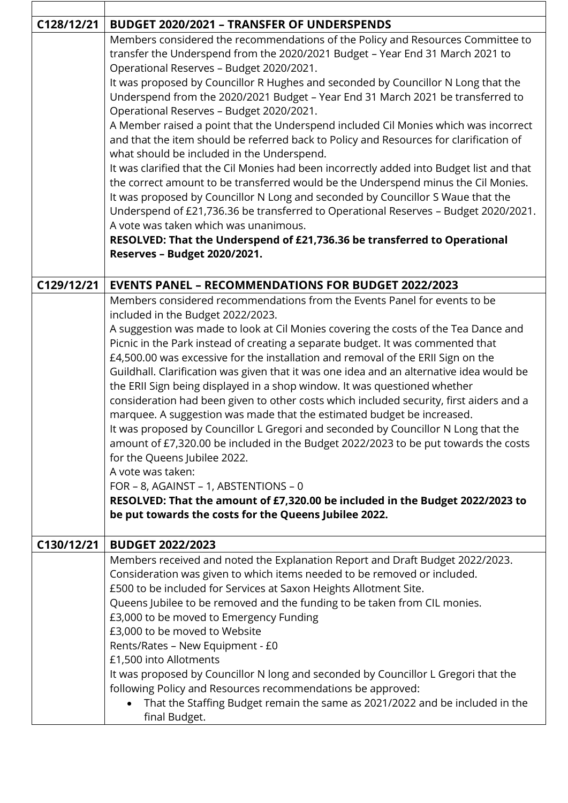| C128/12/21 | <b>BUDGET 2020/2021 - TRANSFER OF UNDERSPENDS</b>                                         |
|------------|-------------------------------------------------------------------------------------------|
|            | Members considered the recommendations of the Policy and Resources Committee to           |
|            | transfer the Underspend from the 2020/2021 Budget - Year End 31 March 2021 to             |
|            | Operational Reserves - Budget 2020/2021.                                                  |
|            | It was proposed by Councillor R Hughes and seconded by Councillor N Long that the         |
|            | Underspend from the 2020/2021 Budget - Year End 31 March 2021 be transferred to           |
|            | Operational Reserves - Budget 2020/2021.                                                  |
|            | A Member raised a point that the Underspend included Cil Monies which was incorrect       |
|            | and that the item should be referred back to Policy and Resources for clarification of    |
|            | what should be included in the Underspend.                                                |
|            | It was clarified that the Cil Monies had been incorrectly added into Budget list and that |
|            | the correct amount to be transferred would be the Underspend minus the Cil Monies.        |
|            | It was proposed by Councillor N Long and seconded by Councillor S Waue that the           |
|            | Underspend of £21,736.36 be transferred to Operational Reserves - Budget 2020/2021.       |
|            | A vote was taken which was unanimous.                                                     |
|            | RESOLVED: That the Underspend of £21,736.36 be transferred to Operational                 |
|            | Reserves - Budget 2020/2021.                                                              |
|            |                                                                                           |
| C129/12/21 | <b>EVENTS PANEL - RECOMMENDATIONS FOR BUDGET 2022/2023</b>                                |
|            | Members considered recommendations from the Events Panel for events to be                 |
|            | included in the Budget 2022/2023.                                                         |
|            | A suggestion was made to look at Cil Monies covering the costs of the Tea Dance and       |
|            | Picnic in the Park instead of creating a separate budget. It was commented that           |
|            | £4,500.00 was excessive for the installation and removal of the ERII Sign on the          |
|            | Guildhall. Clarification was given that it was one idea and an alternative idea would be  |
|            | the ERII Sign being displayed in a shop window. It was questioned whether                 |
|            | consideration had been given to other costs which included security, first aiders and a   |
|            |                                                                                           |
|            | marquee. A suggestion was made that the estimated budget be increased.                    |
|            | It was proposed by Councillor L Gregori and seconded by Councillor N Long that the        |
|            | amount of £7,320.00 be included in the Budget 2022/2023 to be put towards the costs       |
|            | for the Queens Jubilee 2022.                                                              |
|            | A vote was taken:                                                                         |
|            | FOR - 8, AGAINST - 1, ABSTENTIONS - 0                                                     |
|            | RESOLVED: That the amount of £7,320.00 be included in the Budget 2022/2023 to             |
|            | be put towards the costs for the Queens Jubilee 2022.                                     |
| C130/12/21 | <b>BUDGET 2022/2023</b>                                                                   |
|            | Members received and noted the Explanation Report and Draft Budget 2022/2023.             |
|            | Consideration was given to which items needed to be removed or included.                  |
|            | £500 to be included for Services at Saxon Heights Allotment Site.                         |
|            | Queens Jubilee to be removed and the funding to be taken from CIL monies.                 |
|            | £3,000 to be moved to Emergency Funding                                                   |
|            | £3,000 to be moved to Website                                                             |
|            |                                                                                           |
|            | Rents/Rates - New Equipment - £0                                                          |
|            | £1,500 into Allotments                                                                    |
|            | It was proposed by Councillor N long and seconded by Councillor L Gregori that the        |
|            | following Policy and Resources recommendations be approved:                               |
|            | That the Staffing Budget remain the same as 2021/2022 and be included in the              |
|            | final Budget.                                                                             |

 $\Gamma$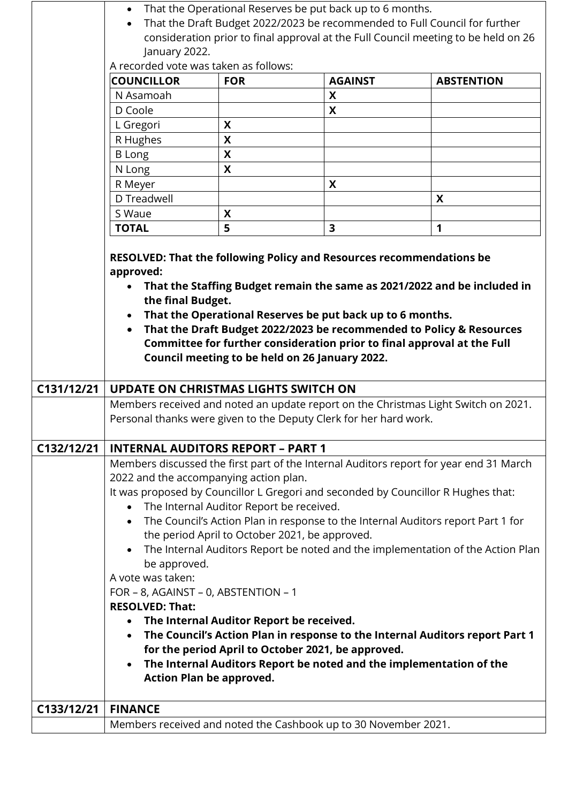|            | January 2022.<br>A recorded vote was taken as follows:<br><b>COUNCILLOR</b>                                                                                                                                                                                                                                                                                                                   | <b>FOR</b>                      | That the Operational Reserves be put back up to 6 months.<br>That the Draft Budget 2022/2023 be recommended to Full Council for further<br><b>AGAINST</b>                                                                                                      | consideration prior to final approval at the Full Council meeting to be held on 26<br><b>ABSTENTION</b> |  |
|------------|-----------------------------------------------------------------------------------------------------------------------------------------------------------------------------------------------------------------------------------------------------------------------------------------------------------------------------------------------------------------------------------------------|---------------------------------|----------------------------------------------------------------------------------------------------------------------------------------------------------------------------------------------------------------------------------------------------------------|---------------------------------------------------------------------------------------------------------|--|
|            | N Asamoah                                                                                                                                                                                                                                                                                                                                                                                     |                                 | X                                                                                                                                                                                                                                                              |                                                                                                         |  |
|            | D Coole                                                                                                                                                                                                                                                                                                                                                                                       |                                 | X                                                                                                                                                                                                                                                              |                                                                                                         |  |
|            | L Gregori                                                                                                                                                                                                                                                                                                                                                                                     | X                               |                                                                                                                                                                                                                                                                |                                                                                                         |  |
|            | R Hughes                                                                                                                                                                                                                                                                                                                                                                                      | X                               |                                                                                                                                                                                                                                                                |                                                                                                         |  |
|            | <b>B</b> Long                                                                                                                                                                                                                                                                                                                                                                                 | X                               |                                                                                                                                                                                                                                                                |                                                                                                         |  |
|            | N Long                                                                                                                                                                                                                                                                                                                                                                                        | X                               |                                                                                                                                                                                                                                                                |                                                                                                         |  |
|            | R Meyer                                                                                                                                                                                                                                                                                                                                                                                       |                                 | X                                                                                                                                                                                                                                                              |                                                                                                         |  |
|            | D Treadwell                                                                                                                                                                                                                                                                                                                                                                                   |                                 |                                                                                                                                                                                                                                                                | X                                                                                                       |  |
|            | S Waue                                                                                                                                                                                                                                                                                                                                                                                        | X                               |                                                                                                                                                                                                                                                                |                                                                                                         |  |
|            | <b>TOTAL</b>                                                                                                                                                                                                                                                                                                                                                                                  | 5                               | 3                                                                                                                                                                                                                                                              | 1                                                                                                       |  |
|            |                                                                                                                                                                                                                                                                                                                                                                                               |                                 |                                                                                                                                                                                                                                                                |                                                                                                         |  |
|            | the final Budget.<br>$\bullet$                                                                                                                                                                                                                                                                                                                                                                |                                 | That the Operational Reserves be put back up to 6 months.<br>That the Draft Budget 2022/2023 be recommended to Policy & Resources<br>Committee for further consideration prior to final approval at the Full<br>Council meeting to be held on 26 January 2022. | That the Staffing Budget remain the same as 2021/2022 and be included in                                |  |
| C131/12/21 | <b>UPDATE ON CHRISTMAS LIGHTS SWITCH ON</b>                                                                                                                                                                                                                                                                                                                                                   |                                 |                                                                                                                                                                                                                                                                |                                                                                                         |  |
|            |                                                                                                                                                                                                                                                                                                                                                                                               |                                 | Personal thanks were given to the Deputy Clerk for her hard work.                                                                                                                                                                                              | Members received and noted an update report on the Christmas Light Switch on 2021.                      |  |
| C132/12/21 | <b>INTERNAL AUDITORS REPORT - PART 1</b>                                                                                                                                                                                                                                                                                                                                                      |                                 |                                                                                                                                                                                                                                                                |                                                                                                         |  |
|            | Members discussed the first part of the Internal Auditors report for year end 31 March                                                                                                                                                                                                                                                                                                        |                                 |                                                                                                                                                                                                                                                                |                                                                                                         |  |
|            | 2022 and the accompanying action plan.                                                                                                                                                                                                                                                                                                                                                        |                                 |                                                                                                                                                                                                                                                                |                                                                                                         |  |
|            | It was proposed by Councillor L Gregori and seconded by Councillor R Hughes that:<br>The Internal Auditor Report be received.<br>$\bullet$<br>The Council's Action Plan in response to the Internal Auditors report Part 1 for<br>$\bullet$<br>the period April to October 2021, be approved.<br>The Internal Auditors Report be noted and the implementation of the Action Plan<br>$\bullet$ |                                 |                                                                                                                                                                                                                                                                |                                                                                                         |  |
|            |                                                                                                                                                                                                                                                                                                                                                                                               |                                 |                                                                                                                                                                                                                                                                |                                                                                                         |  |
|            |                                                                                                                                                                                                                                                                                                                                                                                               |                                 |                                                                                                                                                                                                                                                                |                                                                                                         |  |
|            |                                                                                                                                                                                                                                                                                                                                                                                               |                                 |                                                                                                                                                                                                                                                                |                                                                                                         |  |
|            |                                                                                                                                                                                                                                                                                                                                                                                               |                                 |                                                                                                                                                                                                                                                                |                                                                                                         |  |
|            | be approved.<br>A vote was taken:                                                                                                                                                                                                                                                                                                                                                             |                                 |                                                                                                                                                                                                                                                                |                                                                                                         |  |
|            | FOR - 8, AGAINST - 0, ABSTENTION - 1<br><b>RESOLVED: That:</b>                                                                                                                                                                                                                                                                                                                                |                                 |                                                                                                                                                                                                                                                                |                                                                                                         |  |
|            |                                                                                                                                                                                                                                                                                                                                                                                               |                                 |                                                                                                                                                                                                                                                                |                                                                                                         |  |
|            | The Internal Auditor Report be received.<br>The Council's Action Plan in response to the Internal Auditors report Part 1<br>$\bullet$                                                                                                                                                                                                                                                         |                                 |                                                                                                                                                                                                                                                                |                                                                                                         |  |
|            |                                                                                                                                                                                                                                                                                                                                                                                               |                                 |                                                                                                                                                                                                                                                                |                                                                                                         |  |
|            |                                                                                                                                                                                                                                                                                                                                                                                               |                                 | for the period April to October 2021, be approved.                                                                                                                                                                                                             |                                                                                                         |  |
|            | The Internal Auditors Report be noted and the implementation of the<br>$\bullet$                                                                                                                                                                                                                                                                                                              |                                 |                                                                                                                                                                                                                                                                |                                                                                                         |  |
|            |                                                                                                                                                                                                                                                                                                                                                                                               | <b>Action Plan be approved.</b> |                                                                                                                                                                                                                                                                |                                                                                                         |  |
|            |                                                                                                                                                                                                                                                                                                                                                                                               |                                 |                                                                                                                                                                                                                                                                |                                                                                                         |  |
| C133/12/21 | <b>FINANCE</b>                                                                                                                                                                                                                                                                                                                                                                                |                                 |                                                                                                                                                                                                                                                                |                                                                                                         |  |
|            |                                                                                                                                                                                                                                                                                                                                                                                               |                                 | Members received and noted the Cashbook up to 30 November 2021.                                                                                                                                                                                                |                                                                                                         |  |
|            |                                                                                                                                                                                                                                                                                                                                                                                               |                                 |                                                                                                                                                                                                                                                                |                                                                                                         |  |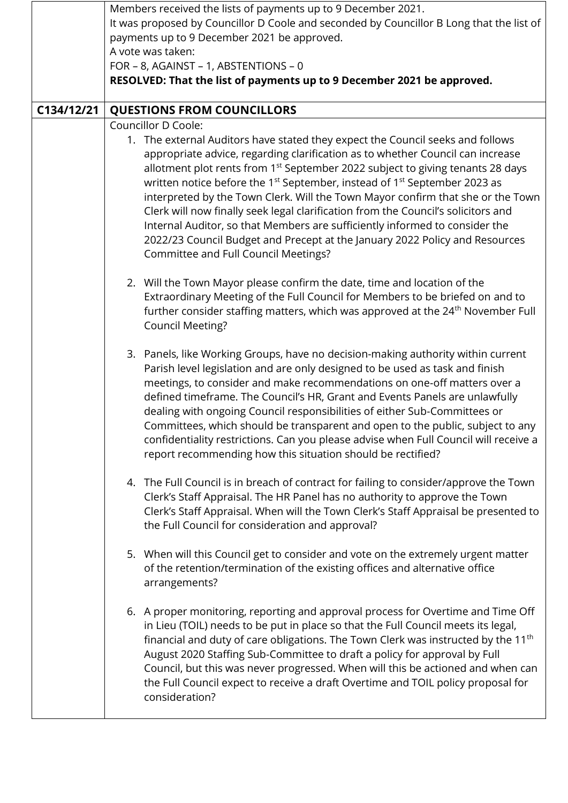|            | Members received the lists of payments up to 9 December 2021.                                                                                                                                                                                                                                                                                                                                                                                                                                                                                                                                                                                                                                                                                     |  |  |
|------------|---------------------------------------------------------------------------------------------------------------------------------------------------------------------------------------------------------------------------------------------------------------------------------------------------------------------------------------------------------------------------------------------------------------------------------------------------------------------------------------------------------------------------------------------------------------------------------------------------------------------------------------------------------------------------------------------------------------------------------------------------|--|--|
|            | It was proposed by Councillor D Coole and seconded by Councillor B Long that the list of                                                                                                                                                                                                                                                                                                                                                                                                                                                                                                                                                                                                                                                          |  |  |
|            | payments up to 9 December 2021 be approved.                                                                                                                                                                                                                                                                                                                                                                                                                                                                                                                                                                                                                                                                                                       |  |  |
|            | A vote was taken:                                                                                                                                                                                                                                                                                                                                                                                                                                                                                                                                                                                                                                                                                                                                 |  |  |
|            | FOR - 8, AGAINST - 1, ABSTENTIONS - 0                                                                                                                                                                                                                                                                                                                                                                                                                                                                                                                                                                                                                                                                                                             |  |  |
|            | RESOLVED: That the list of payments up to 9 December 2021 be approved.                                                                                                                                                                                                                                                                                                                                                                                                                                                                                                                                                                                                                                                                            |  |  |
|            |                                                                                                                                                                                                                                                                                                                                                                                                                                                                                                                                                                                                                                                                                                                                                   |  |  |
| C134/12/21 | <b>QUESTIONS FROM COUNCILLORS</b>                                                                                                                                                                                                                                                                                                                                                                                                                                                                                                                                                                                                                                                                                                                 |  |  |
|            | Councillor D Coole:                                                                                                                                                                                                                                                                                                                                                                                                                                                                                                                                                                                                                                                                                                                               |  |  |
|            | 1. The external Auditors have stated they expect the Council seeks and follows<br>appropriate advice, regarding clarification as to whether Council can increase<br>allotment plot rents from 1 <sup>st</sup> September 2022 subject to giving tenants 28 days<br>written notice before the 1 <sup>st</sup> September, instead of 1 <sup>st</sup> September 2023 as<br>interpreted by the Town Clerk. Will the Town Mayor confirm that she or the Town<br>Clerk will now finally seek legal clarification from the Council's solicitors and<br>Internal Auditor, so that Members are sufficiently informed to consider the<br>2022/23 Council Budget and Precept at the January 2022 Policy and Resources<br>Committee and Full Council Meetings? |  |  |
|            | 2. Will the Town Mayor please confirm the date, time and location of the<br>Extraordinary Meeting of the Full Council for Members to be briefed on and to<br>further consider staffing matters, which was approved at the 24 <sup>th</sup> November Full<br><b>Council Meeting?</b>                                                                                                                                                                                                                                                                                                                                                                                                                                                               |  |  |
|            | 3. Panels, like Working Groups, have no decision-making authority within current<br>Parish level legislation and are only designed to be used as task and finish<br>meetings, to consider and make recommendations on one-off matters over a<br>defined timeframe. The Council's HR, Grant and Events Panels are unlawfully<br>dealing with ongoing Council responsibilities of either Sub-Committees or<br>Committees, which should be transparent and open to the public, subject to any<br>confidentiality restrictions. Can you please advise when Full Council will receive a<br>report recommending how this situation should be rectified?                                                                                                 |  |  |
|            | 4. The Full Council is in breach of contract for failing to consider/approve the Town<br>Clerk's Staff Appraisal. The HR Panel has no authority to approve the Town<br>Clerk's Staff Appraisal. When will the Town Clerk's Staff Appraisal be presented to<br>the Full Council for consideration and approval?                                                                                                                                                                                                                                                                                                                                                                                                                                    |  |  |
|            | 5. When will this Council get to consider and vote on the extremely urgent matter<br>of the retention/termination of the existing offices and alternative office<br>arrangements?                                                                                                                                                                                                                                                                                                                                                                                                                                                                                                                                                                 |  |  |
|            | 6. A proper monitoring, reporting and approval process for Overtime and Time Off<br>in Lieu (TOIL) needs to be put in place so that the Full Council meets its legal,<br>financial and duty of care obligations. The Town Clerk was instructed by the 11 <sup>th</sup><br>August 2020 Staffing Sub-Committee to draft a policy for approval by Full<br>Council, but this was never progressed. When will this be actioned and when can<br>the Full Council expect to receive a draft Overtime and TOIL policy proposal for<br>consideration?                                                                                                                                                                                                      |  |  |